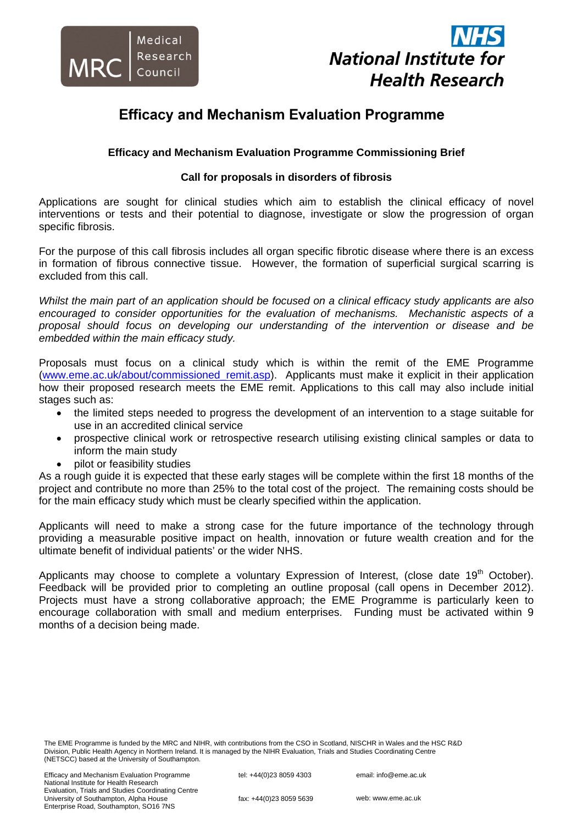



# **Efficacy and Mechanism Evaluation Programme**

# **Efficacy and Mechanism Evaluation Programme Commissioning Brief**

# **Call for proposals in disorders of fibrosis**

Applications are sought for clinical studies which aim to establish the clinical efficacy of novel interventions or tests and their potential to diagnose, investigate or slow the progression of organ specific fibrosis.

For the purpose of this call fibrosis includes all organ specific fibrotic disease where there is an excess in formation of fibrous connective tissue. However, the formation of superficial surgical scarring is excluded from this call.

*Whilst the main part of an application should be focused on a clinical efficacy study applicants are also encouraged to consider opportunities for the evaluation of mechanisms. Mechanistic aspects of a proposal should focus on developing our understanding of the intervention or disease and be embedded within the main efficacy study.* 

Proposals must focus on a clinical study which is within the remit of the EME Programme (www.eme.ac.uk/about/commissioned\_remit.asp). Applicants must make it explicit in their application how their proposed research meets the EME remit. Applications to this call may also include initial stages such as:

- the limited steps needed to progress the development of an intervention to a stage suitable for use in an accredited clinical service
- prospective clinical work or retrospective research utilising existing clinical samples or data to inform the main study
- pilot or feasibility studies

As a rough guide it is expected that these early stages will be complete within the first 18 months of the project and contribute no more than 25% to the total cost of the project. The remaining costs should be for the main efficacy study which must be clearly specified within the application.

Applicants will need to make a strong case for the future importance of the technology through providing a measurable positive impact on health, innovation or future wealth creation and for the ultimate benefit of individual patients' or the wider NHS.

Applicants may choose to complete a voluntary Expression of Interest, (close date  $19<sup>th</sup>$  October). Feedback will be provided prior to completing an outline proposal (call opens in December 2012). Projects must have a strong collaborative approach; the EME Programme is particularly keen to encourage collaboration with small and medium enterprises. Funding must be activated within 9 months of a decision being made.

The EME Programme is funded by the MRC and NIHR, with contributions from the CSO in Scotland, NISCHR in Wales and the HSC R&D Division, Public Health Agency in Northern Ireland. It is managed by the NIHR Evaluation, Trials and Studies Coordinating Centre (NETSCC) based at the University of Southampton.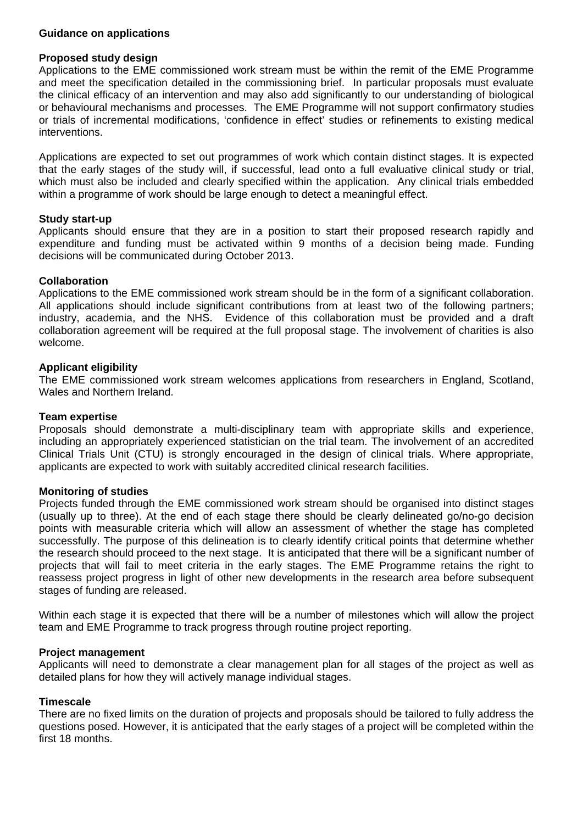#### **Guidance on applications**

#### **Proposed study design**

Applications to the EME commissioned work stream must be within the remit of the EME Programme and meet the specification detailed in the commissioning brief. In particular proposals must evaluate the clinical efficacy of an intervention and may also add significantly to our understanding of biological or behavioural mechanisms and processes. The EME Programme will not support confirmatory studies or trials of incremental modifications, 'confidence in effect' studies or refinements to existing medical interventions.

Applications are expected to set out programmes of work which contain distinct stages. It is expected that the early stages of the study will, if successful, lead onto a full evaluative clinical study or trial, which must also be included and clearly specified within the application. Any clinical trials embedded within a programme of work should be large enough to detect a meaningful effect.

# **Study start-up**

Applicants should ensure that they are in a position to start their proposed research rapidly and expenditure and funding must be activated within 9 months of a decision being made. Funding decisions will be communicated during October 2013.

# **Collaboration**

Applications to the EME commissioned work stream should be in the form of a significant collaboration. All applications should include significant contributions from at least two of the following partners; industry, academia, and the NHS. Evidence of this collaboration must be provided and a draft collaboration agreement will be required at the full proposal stage. The involvement of charities is also welcome.

# **Applicant eligibility**

The EME commissioned work stream welcomes applications from researchers in England, Scotland, Wales and Northern Ireland.

#### **Team expertise**

Proposals should demonstrate a multi-disciplinary team with appropriate skills and experience, including an appropriately experienced statistician on the trial team. The involvement of an accredited Clinical Trials Unit (CTU) is strongly encouraged in the design of clinical trials. Where appropriate, applicants are expected to work with suitably accredited clinical research facilities.

#### **Monitoring of studies**

Projects funded through the EME commissioned work stream should be organised into distinct stages (usually up to three). At the end of each stage there should be clearly delineated go/no-go decision points with measurable criteria which will allow an assessment of whether the stage has completed successfully. The purpose of this delineation is to clearly identify critical points that determine whether the research should proceed to the next stage. It is anticipated that there will be a significant number of projects that will fail to meet criteria in the early stages. The EME Programme retains the right to reassess project progress in light of other new developments in the research area before subsequent stages of funding are released.

Within each stage it is expected that there will be a number of milestones which will allow the project team and EME Programme to track progress through routine project reporting.

#### **Project management**

Applicants will need to demonstrate a clear management plan for all stages of the project as well as detailed plans for how they will actively manage individual stages.

#### **Timescale**

There are no fixed limits on the duration of projects and proposals should be tailored to fully address the questions posed. However, it is anticipated that the early stages of a project will be completed within the first 18 months.